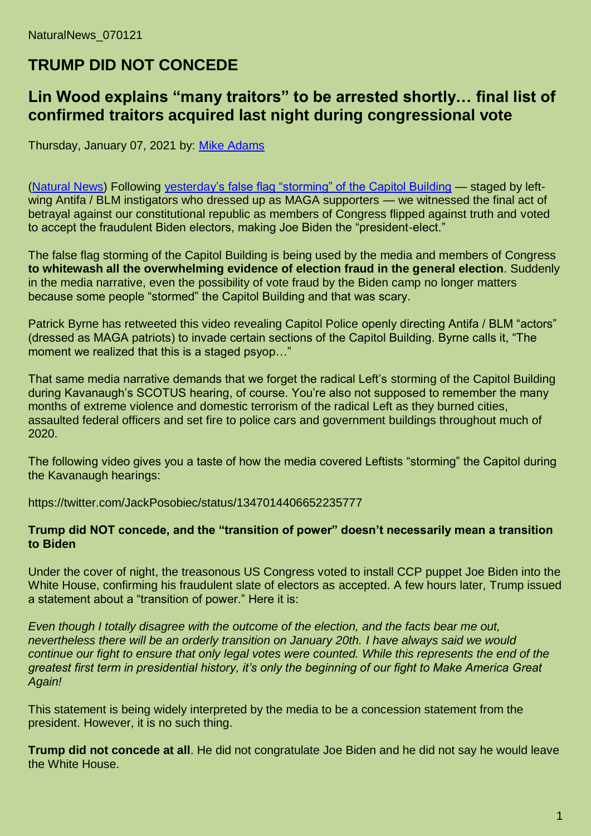# **TRUMP DID NOT CONCEDE**

## **Lin Wood explains "many traitors" to be arrested shortly… final list of confirmed traitors acquired last night during congressional vote**

Thursday, January 07, 2021 by: [Mike Adams](https://www.naturalnews.com/author/healthranger)

[\(Natural News\)](https://www.naturalnews.com/) Following [yesterday's false flag "storming" of the Capitol Building](https://www.naturalnews.com/2021-01-06-staged-viking-who-stormed-capitol-building-blm.html) — staged by leftwing Antifa / BLM instigators who dressed up as MAGA supporters — we witnessed the final act of betrayal against our constitutional republic as members of Congress flipped against truth and voted to accept the fraudulent Biden electors, making Joe Biden the "president-elect."

The false flag storming of the Capitol Building is being used by the media and members of Congress **to whitewash all the overwhelming evidence of election fraud in the general election**. Suddenly in the media narrative, even the possibility of vote fraud by the Biden camp no longer matters because some people "stormed" the Capitol Building and that was scary.

Patrick Byrne has retweeted this video revealing Capitol Police openly directing Antifa / BLM "actors" (dressed as MAGA patriots) to invade certain sections of the Capitol Building. Byrne calls it, "The moment we realized that this is a staged psyop…"

That same media narrative demands that we forget the radical Left's storming of the Capitol Building during Kavanaugh's SCOTUS hearing, of course. You're also not supposed to remember the many months of extreme violence and domestic terrorism of the radical Left as they burned cities, assaulted federal officers and set fire to police cars and government buildings throughout much of 2020.

The following video gives you a taste of how the media covered Leftists "storming" the Capitol during the Kavanaugh hearings:

https://twitter.com/JackPosobiec/status/1347014406652235777

#### **Trump did NOT concede, and the "transition of power" doesn't necessarily mean a transition to Biden**

Under the cover of night, the treasonous US Congress voted to install CCP puppet Joe Biden into the White House, confirming his fraudulent slate of electors as accepted. A few hours later, Trump issued a statement about a "transition of power." Here it is:

*Even though I totally disagree with the outcome of the election, and the facts bear me out, nevertheless there will be an orderly transition on January 20th. I have always said we would continue our fight to ensure that only legal votes were counted. While this represents the end of the greatest first term in presidential history, it's only the beginning of our fight to Make America Great Again!*

This statement is being widely interpreted by the media to be a concession statement from the president. However, it is no such thing.

**Trump did not concede at all**. He did not congratulate Joe Biden and he did not say he would leave the White House.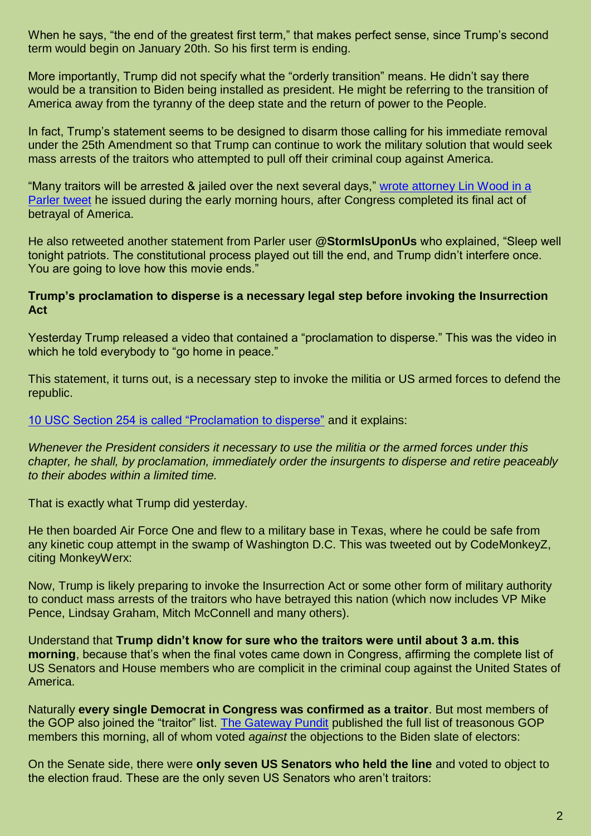When he says, "the end of the greatest first term," that makes perfect sense, since Trump's second term would begin on January 20th. So his first term is ending.

More importantly, Trump did not specify what the "orderly transition" means. He didn't say there would be a transition to Biden being installed as president. He might be referring to the transition of America away from the tyranny of the deep state and the return of power to the People.

In fact, Trump's statement seems to be designed to disarm those calling for his immediate removal under the 25th Amendment so that Trump can continue to work the military solution that would seek mass arrests of the traitors who attempted to pull off their criminal coup against America.

"Many traitors will be arrested & jailed over the next several days," [wrote attorney Lin Wood in a](https://parler.com/post/2641f93a3a3b44a5a27fa79d92becfc4)  [Parler tweet](https://parler.com/post/2641f93a3a3b44a5a27fa79d92becfc4) he issued during the early morning hours, after Congress completed its final act of betrayal of America.

He also retweeted another statement from Parler user **@StormIsUponUs** who explained, "Sleep well tonight patriots. The constitutional process played out till the end, and Trump didn't interfere once. You are going to love how this movie ends."

#### **Trump's proclamation to disperse is a necessary legal step before invoking the Insurrection Act**

Yesterday Trump released a video that contained a "proclamation to disperse." This was the video in which he told everybody to "go home in peace."

This statement, it turns out, is a necessary step to invoke the militia or US armed forces to defend the republic.

[10 USC Section 254 is called "Proclamation to disperse"](https://www.law.cornell.edu/uscode/text/10/254) and it explains:

*Whenever the President considers it necessary to use the militia or the armed forces under this chapter, he shall, by proclamation, immediately order the insurgents to disperse and retire peaceably to their abodes within a limited time.*

That is exactly what Trump did yesterday.

He then boarded Air Force One and flew to a military base in Texas, where he could be safe from any kinetic coup attempt in the swamp of Washington D.C. This was tweeted out by CodeMonkeyZ, citing MonkeyWerx:

Now, Trump is likely preparing to invoke the Insurrection Act or some other form of military authority to conduct mass arrests of the traitors who have betrayed this nation (which now includes VP Mike Pence, Lindsay Graham, Mitch McConnell and many others).

Understand that **Trump didn't know for sure who the traitors were until about 3 a.m. this morning**, because that's when the final votes came down in Congress, affirming the complete list of US Senators and House members who are complicit in the criminal coup against the United States of America.

Naturally **every single Democrat in Congress was confirmed as a traitor**. But most members of the GOP also joined the "traitor" list. [The Gateway Pundit](https://www.thegatewaypundit.com/2021/01/list-83-gop-lawmakers-refused-object-rampant-fraud-az-presidential-election/) published the full list of treasonous GOP members this morning, all of whom voted *against* the objections to the Biden slate of electors:

On the Senate side, there were **only seven US Senators who held the line** and voted to object to the election fraud. These are the only seven US Senators who aren't traitors: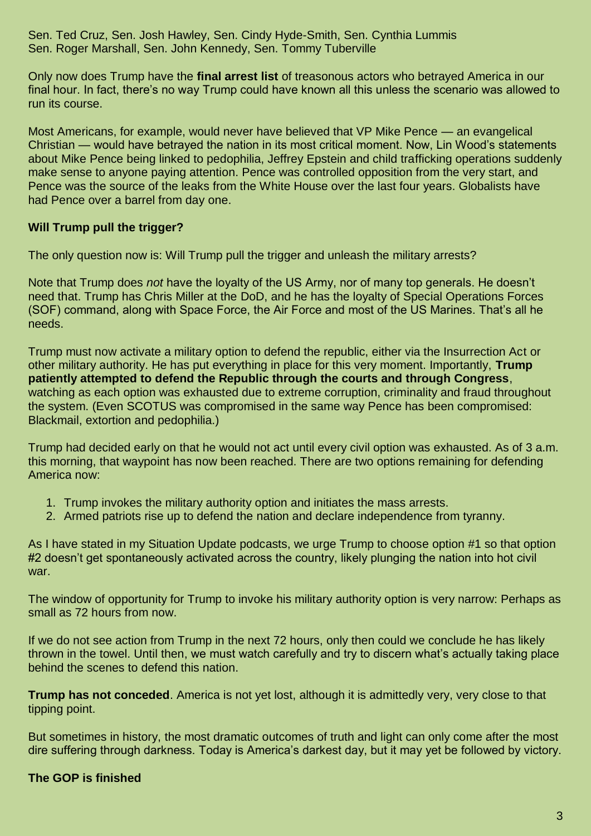Sen. Ted Cruz, Sen. Josh Hawley, Sen. Cindy Hyde-Smith, Sen. Cynthia Lummis Sen. Roger Marshall, Sen. John Kennedy, Sen. Tommy Tuberville

Only now does Trump have the **final arrest list** of treasonous actors who betrayed America in our final hour. In fact, there's no way Trump could have known all this unless the scenario was allowed to run its course.

Most Americans, for example, would never have believed that VP Mike Pence — an evangelical Christian — would have betrayed the nation in its most critical moment. Now, Lin Wood's statements about Mike Pence being linked to pedophilia, Jeffrey Epstein and child trafficking operations suddenly make sense to anyone paying attention. Pence was controlled opposition from the very start, and Pence was the source of the leaks from the White House over the last four years. Globalists have had Pence over a barrel from day one.

#### **Will Trump pull the trigger?**

The only question now is: Will Trump pull the trigger and unleash the military arrests?

Note that Trump does *not* have the loyalty of the US Army, nor of many top generals. He doesn't need that. Trump has Chris Miller at the DoD, and he has the loyalty of Special Operations Forces (SOF) command, along with Space Force, the Air Force and most of the US Marines. That's all he needs.

Trump must now activate a military option to defend the republic, either via the Insurrection Act or other military authority. He has put everything in place for this very moment. Importantly, **Trump patiently attempted to defend the Republic through the courts and through Congress**, watching as each option was exhausted due to extreme corruption, criminality and fraud throughout the system. (Even SCOTUS was compromised in the same way Pence has been compromised: Blackmail, extortion and pedophilia.)

Trump had decided early on that he would not act until every civil option was exhausted. As of 3 a.m. this morning, that waypoint has now been reached. There are two options remaining for defending America now:

- 1. Trump invokes the military authority option and initiates the mass arrests.
- 2. Armed patriots rise up to defend the nation and declare independence from tyranny.

As I have stated in my Situation Update podcasts, we urge Trump to choose option #1 so that option #2 doesn't get spontaneously activated across the country, likely plunging the nation into hot civil war.

The window of opportunity for Trump to invoke his military authority option is very narrow: Perhaps as small as 72 hours from now.

If we do not see action from Trump in the next 72 hours, only then could we conclude he has likely thrown in the towel. Until then, we must watch carefully and try to discern what's actually taking place behind the scenes to defend this nation.

**Trump has not conceded**. America is not yet lost, although it is admittedly very, very close to that tipping point.

But sometimes in history, the most dramatic outcomes of truth and light can only come after the most dire suffering through darkness. Today is America's darkest day, but it may yet be followed by victory.

### **The GOP is finished**